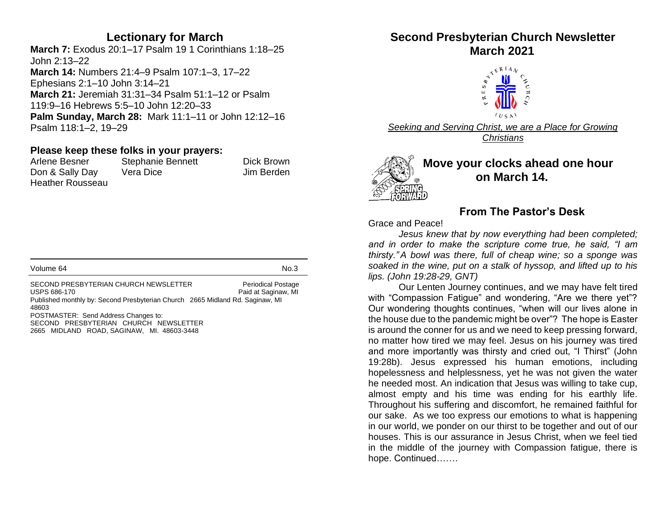## **Lectionary for March**

**March 7:** Exodus 20:1–17 Psalm 19 1 Corinthians 1:18–25 John 2:13–22 **March 14:** Numbers 21:4–9 Psalm 107:1–3, 17–22 Ephesians 2:1–10 John 3:14–21 **March 21:** Jeremiah 31:31–34 Psalm 51:1–12 or Psalm 119:9–16 Hebrews 5:5–10 John 12:20–33 **Palm Sunday, March 28:** Mark 11:1–11 or John 12:12–16 Psalm 118:1–2, 19–29

#### **Please keep these folks in your prayers:**

Arlene Besner Stephanie Bennett Dick Brown Don & Sally Day Vera Dice **In the Solution Search Contract Contract** Don & Sally Day Heather Rousseau

| Volume 64 | No.3 |
|-----------|------|
|           |      |

SECOND PRESBYTERIAN CHURCH NEWSLETTER Periodical Postage USPS 686-170 **Paid at Saginaw**, MI Published monthly by: Second Presbyterian Church 2665 Midland Rd. Saginaw, MI 48603 POSTMASTER: Send Address Changes to: SECOND PRESBYTERIAN CHURCH NEWSLETTER 2665 MIDLAND ROAD, SAGINAW, MI. 48603-3448

# **Second Presbyterian Church Newsletter**



*Seeking and Serving Christ, we are a Place for Growing Christians*



## **Move your clocks ahead one hour on March 14.**

## **From The Pastor's Desk**

Grace and Peace!

*Jesus knew that by now everything had been completed; and in order to make the scripture come true, he said, "I am thirsty." A bowl was there, full of cheap wine; so a sponge was soaked in the wine, put on a stalk of hyssop, and lifted up to his lips. (John 19:28-29, GNT)*

Our Lenten Journey continues, and we may have felt tired with "Compassion Fatigue" and wondering, "Are we there yet"? Our wondering thoughts continues, "when will our lives alone in the house due to the pandemic might be over"? The hope is Easter is around the conner for us and we need to keep pressing forward, no matter how tired we may feel. Jesus on his journey was tired and more importantly was thirsty and cried out, "I Thirst" (John 19:28b). Jesus expressed his human emotions, including hopelessness and helplessness, yet he was not given the water he needed most. An indication that Jesus was willing to take cup, almost empty and his time was ending for his earthly life. Throughout his suffering and discomfort, he remained faithful for our sake. As we too express our emotions to what is happening in our world, we ponder on our thirst to be together and out of our houses. This is our assurance in Jesus Christ, when we feel tied in the middle of the journey with Compassion fatigue, there is hope. Continued…….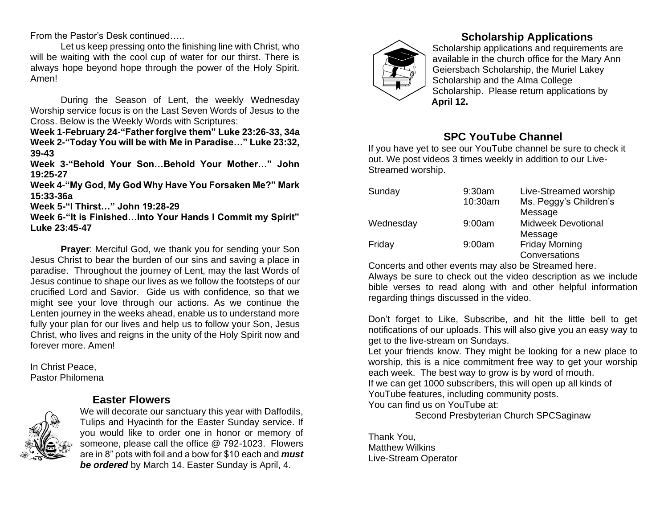From the Pastor's Desk continued…..

Let us keep pressing onto the finishing line with Christ, who will be waiting with the cool cup of water for our thirst. There is always hope beyond hope through the power of the Holy Spirit. Amen!

During the Season of Lent, the weekly Wednesday Worship service focus is on the Last Seven Words of Jesus to the Cross. Below is the Weekly Words with Scriptures:

**Week 1-February 24-"Father forgive them" Luke 23:26-33, 34a Week 2-"Today You will be with Me in Paradise…" Luke 23:32, 39-43**

**Week 3-"Behold Your Son…Behold Your Mother…" John 19:25-27**

**Week 4-"My God, My God Why Have You Forsaken Me?" Mark 15:33-36a**

**Week 5-"I Thirst…" John 19:28-29**

**Week 6-"It is Finished…Into Your Hands I Commit my Spirit" Luke 23:45-47**

**Prayer**: Merciful God, we thank you for sending your Son Jesus Christ to bear the burden of our sins and saving a place in paradise. Throughout the journey of Lent, may the last Words of Jesus continue to shape our lives as we follow the footsteps of our crucified Lord and Savior. Gide us with confidence, so that we might see your love through our actions. As we continue the Lenten journey in the weeks ahead, enable us to understand more fully your plan for our lives and help us to follow your Son, Jesus Christ, who lives and reigns in the unity of the Holy Spirit now and forever more. Amen!

In Christ Peace, Pastor Philomena

#### **Easter Flowers**



We will decorate our sanctuary this year with Daffodils, Tulips and Hyacinth for the Easter Sunday service. If you would like to order one in honor or memory of someone, please call the office @ 792-1023. Flowers are in 8" pots with foil and a bow for \$10 each and *must be ordered* by March 14. Easter Sunday is April, 4.



## **Scholarship Applications**

Scholarship applications and requirements are available in the church office for the Mary Ann Geiersbach Scholarship, the Muriel Lakey Scholarship and the Alma College Scholarship. Please return applications by  **April 12.**

# **SPC YouTube Channel**

If you have yet to see our YouTube channel be sure to check it out. We post videos 3 times weekly in addition to our Live-Streamed worship.

| Sunday    | 9:30am  | Live-Streamed worship     |  |  |
|-----------|---------|---------------------------|--|--|
|           | 10:30am | Ms. Peggy's Children's    |  |  |
|           |         | Message                   |  |  |
| Wednesday | 9:00am  | <b>Midweek Devotional</b> |  |  |
|           |         | Message                   |  |  |
| Friday    | 9:00am  | <b>Friday Morning</b>     |  |  |
|           |         | Conversations             |  |  |

Concerts and other events may also be Streamed here.

Always be sure to check out the video description as we include bible verses to read along with and other helpful information regarding things discussed in the video.

Don't forget to Like, Subscribe, and hit the little bell to get notifications of our uploads. This will also give you an easy way to get to the live-stream on Sundays.

Let your friends know. They might be looking for a new place to worship, this is a nice commitment free way to get your worship each week. The best way to grow is by word of mouth.

If we can get 1000 subscribers, this will open up all kinds of YouTube features, including community posts.

You can find us on YouTube at:

Second Presbyterian Church SPCSaginaw

Thank You, Matthew Wilkins Live-Stream Operator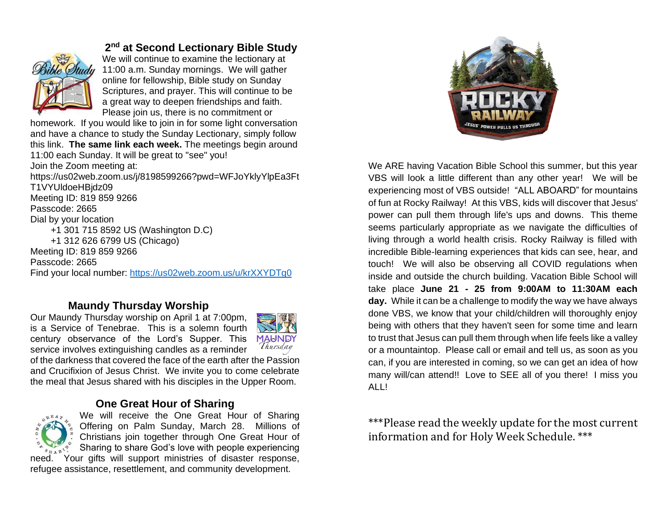

## **2 nd at Second Lectionary Bible Study**

We will continue to examine the lectionary at 11:00 a.m. Sunday mornings. We will gather online for fellowship, Bible study on Sunday Scriptures, and prayer. This will continue to be a great way to deepen friendships and faith. Please join us, there is no commitment or

homework. If you would like to join in for some light conversation and have a chance to study the Sunday Lectionary, simply follow this link. **The same link each week.** The meetings begin around 11:00 each Sunday. It will be great to "see" you! Join the Zoom meeting at:

https://us02web.zoom.us/j/8198599266?pwd=WFJoYklyYlpEa3Ft T1VYUldoeHBjdz09 Meeting ID: 819 859 9266 Passcode: 2665 Dial by your location +1 301 715 8592 US (Washington D.C) +1 312 626 6799 US (Chicago) Meeting ID: 819 859 9266 Passcode: 2665 Find your local number:<https://us02web.zoom.us/u/krXXYDTg0>

#### **Maundy Thursday Worship**

Our Maundy Thursday worship on April 1 at 7:00pm, is a Service of Tenebrae. This is a solemn fourth century observance of the Lord's Supper. This service involves extinguishing candles as a reminder



of the darkness that covered the face of the earth after the Passion and Crucifixion of Jesus Christ. We invite you to come celebrate the meal that Jesus shared with his disciples in the Upper Room.

## **One Great Hour of Sharing**



We will receive the One Great Hour of Sharing Offering on Palm Sunday, March 28.Millions of Christians join together through One Great Hour of Sharing to share God's love with people experiencing need. Your gifts will support ministries of disaster response,

refugee assistance, resettlement, and community development.



We ARE having Vacation Bible School this summer, but this year VBS will look a little different than any other year! We will be experiencing most of VBS outside! "ALL ABOARD" for mountains of fun at Rocky Railway! At this VBS, kids will discover that Jesus' power can pull them through life's ups and downs. This theme seems particularly appropriate as we navigate the difficulties of living through a world health crisis. Rocky Railway is filled with incredible Bible-learning experiences that kids can see, hear, and touch! We will also be observing all COVID regulations when inside and outside the church building. Vacation Bible School will take place **June 21 - 25 from 9:00AM to 11:30AM each day.** While it can be a challenge to modify the way we have always done VBS, we know that your child/children will thoroughly enjoy being with others that they haven't seen for some time and learn to trust that Jesus can pull them through when life feels like a valley or a mountaintop. Please call or email and tell us, as soon as you can, if you are interested in coming, so we can get an idea of how many will/can attend!! Love to SEE all of you there! I miss you ALL!

\*\*\*Please read the weekly update for the most current information and for Holy Week Schedule. \*\*\*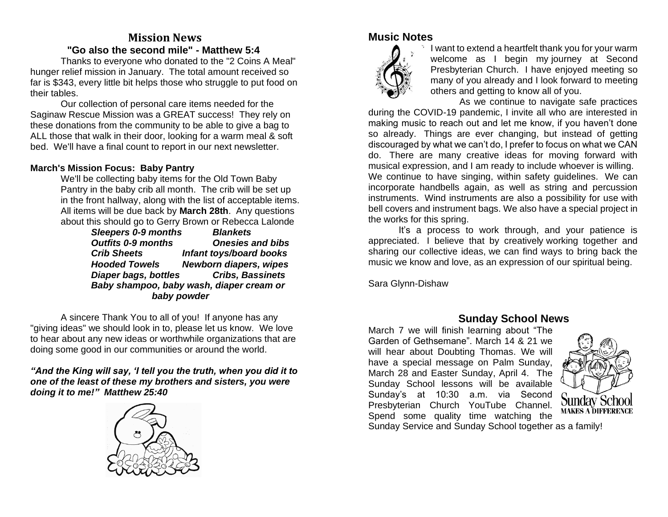# **Mission News "Go also the second mile" - Matthew 5:4**

Thanks to everyone who donated to the "2 Coins A Meal" hunger relief mission in January. The total amount received so far is \$343, every little bit helps those who struggle to put food on their tables.

Our collection of personal care items needed for the Saginaw Rescue Mission was a GREAT success! They rely on these donations from the community to be able to give a bag to ALL those that walk in their door, looking for a warm meal & soft bed. We'll have a final count to report in our next newsletter.

#### **March's Mission Focus: Baby Pantry**

We'll be collecting baby items for the Old Town Baby Pantry in the baby crib all month. The crib will be set up in the front hallway, along with the list of acceptable items. All items will be due back by **March 28th**. Any questions about this should go to Gerry Brown or Rebecca Lalonde

> *Sleepers 0-9 months Blankets Outfits 0-9 months Onesies and bibs Crib Sheets Infant toys/board books Hooded Towels Newborn diapers, wipes Diaper bags, bottles Cribs, Bassinets Baby shampoo, baby wash, diaper cream or baby powder*

A sincere Thank You to all of you! If anyone has any "giving ideas" we should look in to, please let us know. We love to hear about any new ideas or worthwhile organizations that are doing some good in our communities or around the world.

*"And the King will say, 'I tell you the truth, when you did it to one of the least of these my brothers and sisters, you were doing it to me!" Matthew 25:40*



## **Music Notes**



I want to extend a heartfelt thank you for your warm welcome as I begin my journey at Second Presbyterian Church. I have enjoyed meeting so many of you already and I look forward to meeting others and getting to know all of you.

As we continue to navigate safe practices during the COVID-19 pandemic, I invite all who are interested in making music to reach out and let me know, if you haven't done so already. Things are ever changing, but instead of getting discouraged by what we can't do, I prefer to focus on what we CAN do. There are many creative ideas for moving forward with musical expression, and I am ready to include whoever is willing. We continue to have singing, within safety guidelines. We can incorporate handbells again, as well as string and percussion instruments. Wind instruments are also a possibility for use with bell covers and instrument bags. We also have a special project in the works for this spring.

It's a process to work through, and your patience is appreciated. I believe that by creatively working together and sharing our collective ideas, we can find ways to bring back the music we know and love, as an expression of our spiritual being.

Sara Glynn-Dishaw

#### **Sunday School News**

March 7 we will finish learning about "The Garden of Gethsemane". March 14 & 21 we will hear about Doubting Thomas. We will have a special message on Palm Sunday, March 28 and Easter Sunday, April 4. The Sunday School lessons will be available Sunday's at 10:30 a.m. via Second Presbyterian Church YouTube Channel. Spend some quality time watching the



Sunday Service and Sunday School together as a family!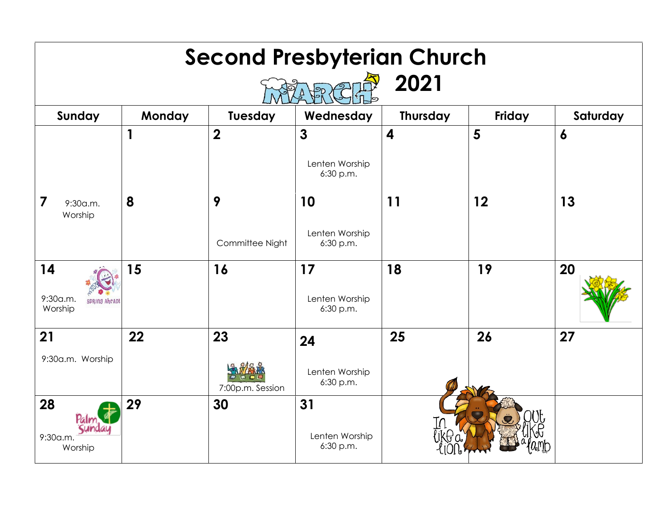| <b>Second Presbyterian Church</b><br>2021         |        |                         |                                             |                         |        |                  |  |  |
|---------------------------------------------------|--------|-------------------------|---------------------------------------------|-------------------------|--------|------------------|--|--|
| Sunday                                            | Monday | Tuesday                 | Wednesday                                   | <b>Thursday</b>         | Friday | Saturday         |  |  |
|                                                   | 1      | $\overline{\mathbf{2}}$ | $\mathbf{3}$<br>Lenten Worship<br>6:30 p.m. | $\overline{\mathbf{4}}$ | 5      | $\boldsymbol{6}$ |  |  |
| 7<br>9:30a.m.<br>Worship                          | 8      | 9<br>Committee Night    | 10<br>Lenten Worship<br>6:30 p.m.           | 11                      | 12     | 13               |  |  |
| 14<br>9:30a.m.<br><b>SPRING AheAD!</b><br>Worship | 15     | 16                      | 17<br>Lenten Worship<br>6:30 p.m.           | 18                      | 19     | 20               |  |  |
| 21<br>9:30a.m. Worship                            | 22     | 23<br>7:00p.m. Session  | 24<br>Lenten Worship<br>6:30 p.m.           | 25                      | 26     | 27               |  |  |
| 28<br>Sund<br>9:30a.m.<br>Worship                 | 29     | 30                      | 31<br>Lenten Worship<br>6:30 p.m.           |                         |        |                  |  |  |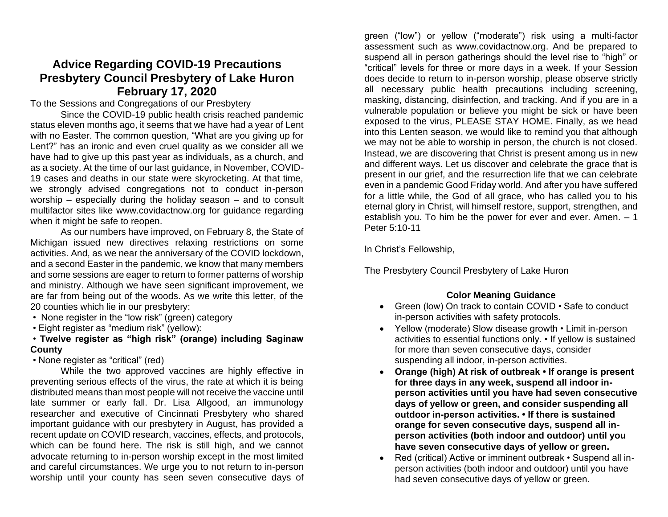# **Advice Regarding COVID-19 Precautions Presbytery Council Presbytery of Lake Huron February 17, 2020**

To the Sessions and Congregations of our Presbytery

Since the COVID-19 public health crisis reached pandemic status eleven months ago, it seems that we have had a year of Lent with no Easter. The common question, "What are you giving up for Lent?" has an ironic and even cruel quality as we consider all we have had to give up this past year as individuals, as a church, and as a society. At the time of our last guidance, in November, COVID-19 cases and deaths in our state were skyrocketing. At that time, we strongly advised congregations not to conduct in-person worship – especially during the holiday season – and to consult multifactor sites like www.covidactnow.org for guidance regarding when it might be safe to reopen.

As our numbers have improved, on February 8, the State of Michigan issued new directives relaxing restrictions on some activities. And, as we near the anniversary of the COVID lockdown, and a second Easter in the pandemic, we know that many members and some sessions are eager to return to former patterns of worship and ministry. Although we have seen significant improvement, we are far from being out of the woods. As we write this letter, of the 20 counties which lie in our presbytery:

- None register in the "low risk" (green) category
- Eight register as "medium risk" (yellow):

#### • **Twelve register as "high risk" (orange) including Saginaw County**

• None register as "critical" (red)

While the two approved vaccines are highly effective in preventing serious effects of the virus, the rate at which it is being distributed means than most people will not receive the vaccine until late summer or early fall. Dr. Lisa Allgood, an immunology researcher and executive of Cincinnati Presbytery who shared important guidance with our presbytery in August, has provided a recent update on COVID research, vaccines, effects, and protocols, which can be found here. The risk is still high, and we cannot advocate returning to in-person worship except in the most limited and careful circumstances. We urge you to not return to in-person worship until your county has seen seven consecutive days of

green ("low") or yellow ("moderate") risk using a multi-factor assessment such as www.covidactnow.org. And be prepared to suspend all in person gatherings should the level rise to "high" or "critical" levels for three or more days in a week. If your Session does decide to return to in-person worship, please observe strictly all necessary public health precautions including screening, masking, distancing, disinfection, and tracking. And if you are in a vulnerable population or believe you might be sick or have been exposed to the virus, PLEASE STAY HOME. Finally, as we head into this Lenten season, we would like to remind you that although we may not be able to worship in person, the church is not closed. Instead, we are discovering that Christ is present among us in new and different ways. Let us discover and celebrate the grace that is present in our grief, and the resurrection life that we can celebrate even in a pandemic Good Friday world. And after you have suffered for a little while, the God of all grace, who has called you to his eternal glory in Christ, will himself restore, support, strengthen, and establish you. To him be the power for ever and ever. Amen. – 1 Peter 5:10-11

In Christ's Fellowship,

The Presbytery Council Presbytery of Lake Huron

#### **Color Meaning Guidance**

- Green (low) On track to contain COVID Safe to conduct in-person activities with safety protocols.
- Yellow (moderate) Slow disease growth Limit in-person activities to essential functions only. • If yellow is sustained for more than seven consecutive days, consider suspending all indoor, in-person activities.
- **Orange (high) At risk of outbreak If orange is present for three days in any week, suspend all indoor inperson activities until you have had seven consecutive days of yellow or green, and consider suspending all outdoor in-person activities. • If there is sustained orange for seven consecutive days, suspend all inperson activities (both indoor and outdoor) until you have seven consecutive days of yellow or green.**
- Red (critical) Active or imminent outbreak Suspend all inperson activities (both indoor and outdoor) until you have had seven consecutive days of yellow or green.